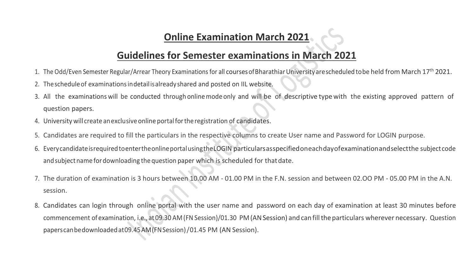#### **Online Examination March 2021**

#### **Guidelines for Semester examinations in March 2021**

- 1. The Odd/Even Semester Regular/Arrear Theory Examinations for all courses of Bharathiar University are scheduled to be held from March 17<sup>th</sup> 2021.
- 2. Thescheduleof examinationsindetailisalready shared and posted on IIL website.
- 3. All the examinations will be conducted through onlinemodeonly and will be of descriptive type with the existing approved pattern of question papers.
- 4. University will create anexclusiveonline portalfortheregistration of candidates.
- 5. Candidates are required to fill the particulars in the respective columns to create User name and Password for LOGIN purpose.
- 6. EverycandidateisrequiredtoentertheonlineportalusingtheLOGIN particularsasspecifiedoneachdayofexaminationandselectthe subject code and subject name for downloading the question paper which is scheduled for that date.
- 7. The duration of examination is 3 hours between 10.00 AM 01.00 PM in the F.N. session and between 02.OO PM 05.00 PM in the A.N. session.
- 8. Candidates can login through online portal with the user name and password on each day of examination at least 30 minutes before commencement of examination, i.e., at 09.30 AM(FNSession)/01.30 PM(ANSession) andcanfilltheparticulars wherever necessary. Question paperscanbedownloadedat09.45AM(FNSession)/01.45 PM (AN Session).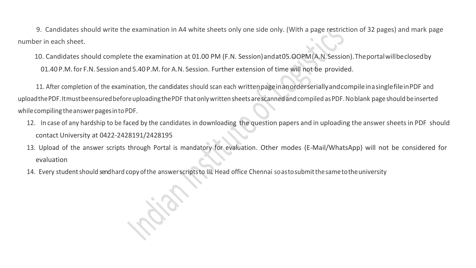9. Candidates should write the examination in A4 white sheets only one side only. (With a page restriction of 32 pages) and mark page number in each sheet.

 10. Candidates should complete the examination at 01.00 PM (F.N. Session)andat05.OOPM(A.N.Session).Theportalwillbeclosedby 01.40P.M.for F.N. Session and5.40P.M. for A.N. Session. Further extension of time will not be provided.

 11. After completion of the examination, the candidates should scan each writtenpageinanorderseriallyandcompileinasinglefileinPDF and upload the PDF. It must be ensured before uploading the PDF that only written sheets are scanned and compiled as PDF. No blank page should be inserted while compiling the answer pages in to PDF.

- 12. In case of any hardship to be faced by the candidates in downloading the question papers and in uploading the answer sheets in PDF should contact University at 0422-2428191/2428195
- 13. Upload of the answer scripts through Portal is mandatory for evaluation. Other modes (E-Mail/WhatsApp) will not be considered for evaluation
- 14. Every student should send hard copy of the answerscripts to IIL Head office Chennai soasto submit the same to the university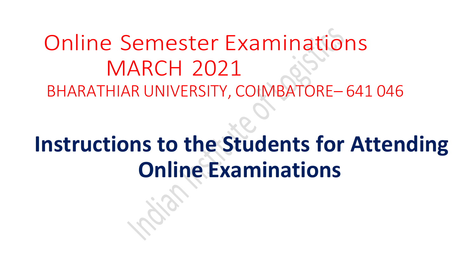## Online Semester Examinations MARCH 2021 BHARATHIAR UNIVERSITY, COIMBATORE– 641 046

# **Instructions to the Students for Attending Online Examinations**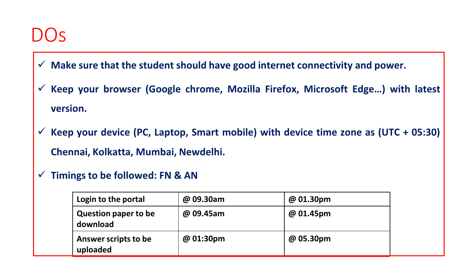### $DOS$

- **Make sure that the student should have good internet connectivity and power.**
- **Keep your browser (Google chrome, Mozilla Firefox, Microsoft Edge…) with latest version.**
- **Keep your device (PC, Laptop, Smart mobile) with device time zone as (UTC + 05:30) Chennai, Kolkatta, Mumbai, Newdelhi.**
- **Timings to be followed: FN & AN**

| Login to the portal                     | @ 09.30am | @ 01.30pm |
|-----------------------------------------|-----------|-----------|
| <b>Question paper to be</b><br>download | @ 09.45am | @ 01.45pm |
| Answer scripts to be<br>uploaded        | @ 01:30pm | @ 05.30pm |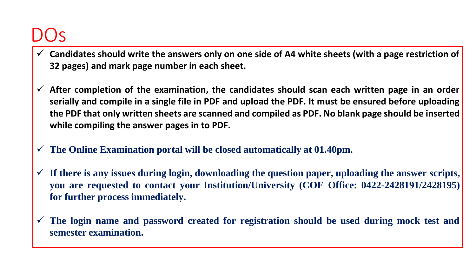### DO<sub>S</sub>

- **Candidates should write the answers only on one side of A4 white sheets (with a page restriction of 32 pages) and mark page number in each sheet.**
- **After completion of the examination, the candidates should scan each written page in an order serially and compile in a single file in PDF and upload the PDF. It must be ensured before uploading the PDF that only written sheets are scanned and compiled as PDF. No blank page should be inserted while compiling the answer pages in to PDF.**
- **The Online Examination portal will be closed automatically at 01.40pm.**
- **If there is any issues during login, downloading the question paper, uploading the answer scripts, you are requested to contact your Institution/University (COE Office: 0422-2428191/2428195) for further process immediately.**
- **The login name and password created for registration should be used during mock test and semester examination.**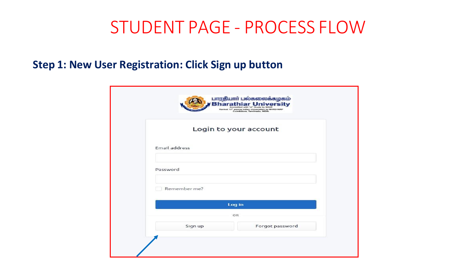### STUDENT PAGE - PROCESS FLOW

#### **Step 1: New User Registration: Click Sign up button**

|                      | Ranked 13 <sup>*</sup> among Indian Universities by MHRD-NIRF<br>Combaters, Tamilradu, INDIA. |
|----------------------|-----------------------------------------------------------------------------------------------|
|                      | Login to your account                                                                         |
| <b>Email address</b> |                                                                                               |
| Password             |                                                                                               |
| Remember me?         |                                                                                               |
|                      | Log in                                                                                        |
|                      | OR                                                                                            |
| Sign up              | Forgot password                                                                               |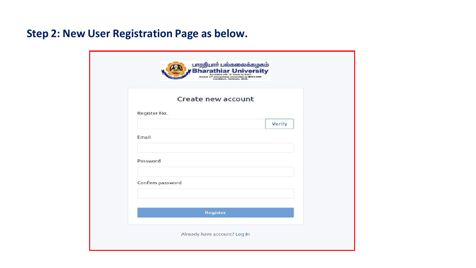#### **Step 2: New User Registration Page as below.**

| Create new account |        |
|--------------------|--------|
|                    |        |
| Register No.       |        |
|                    | Verify |
| Email              |        |
|                    |        |
| Password           |        |
|                    |        |
| Confirm password   |        |
|                    |        |
| Register           |        |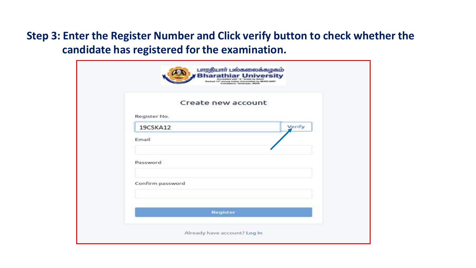#### **Step 3: Enter the Register Number and Click verify button to check whether the candidate has registered for the examination.**

|                  | Create new account |
|------------------|--------------------|
| Register No.     |                    |
| 19CSKA12         | Verify             |
| Email            |                    |
| Password         |                    |
| Confirm password |                    |
|                  | <b>Register</b>    |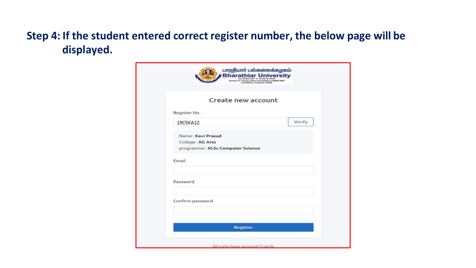#### **Step 4: If the student entered correct register number, the below page will be displayed.**

| Create new account               |        |
|----------------------------------|--------|
| Register No.                     |        |
| 19CSKA12                         | Verify |
| Name: Kavi Prasad                |        |
| College: KG Arts                 |        |
| programme: M.Sc Computer Science |        |
| Email                            |        |
|                                  |        |
| Password                         |        |
|                                  |        |
| Confirm password                 |        |
|                                  |        |
|                                  |        |
| <b>Register</b>                  |        |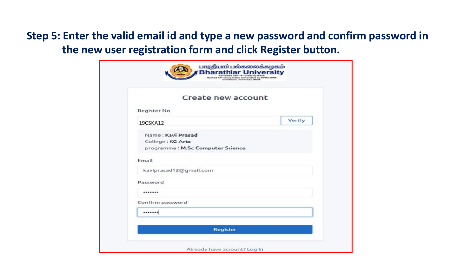#### **Step 5: Enter the valid email id and type a new password and confirm password in the new user registration form and click Register button.**

| Register No.<br>19CSKA12<br>Name: Kavi Prasad | Verify |
|-----------------------------------------------|--------|
|                                               |        |
|                                               |        |
|                                               |        |
| College: KG Arts                              |        |
| programme : M.Sc Computer Science             |        |
| Email                                         |        |
| kaviprasad12@gmail.com                        |        |
| Password                                      |        |
|                                               |        |
| Confirm password                              |        |
|                                               |        |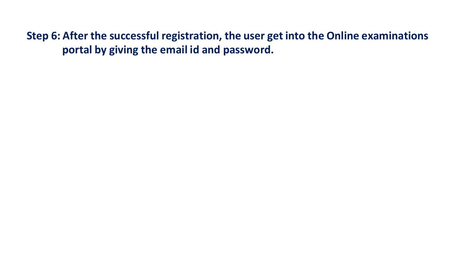**Step 6: After the successful registration, the user get into the Online examinations portal by giving the email id and password.**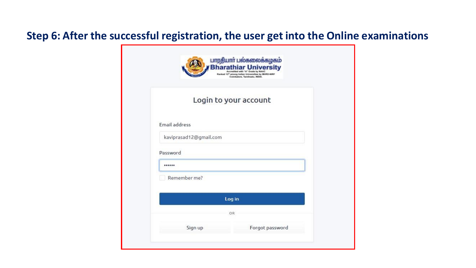#### **Step 6: After the successful registration, the user get into the Online examinations**

|                        | <b>Bharathiar University</b><br>Accredited with "A" Grade by NAAC<br>Rasked 13 <sup>th</sup> among Indian Universities by MHRD-NIRF<br>Coimbatore, Tamilnadu, INDIA. |
|------------------------|----------------------------------------------------------------------------------------------------------------------------------------------------------------------|
|                        | Login to your account                                                                                                                                                |
| Email address          |                                                                                                                                                                      |
| kaviprasad12@gmail.com |                                                                                                                                                                      |
| Password               |                                                                                                                                                                      |
|                        |                                                                                                                                                                      |
| Remember me?           |                                                                                                                                                                      |
|                        | Log in                                                                                                                                                               |
|                        | OR                                                                                                                                                                   |
|                        |                                                                                                                                                                      |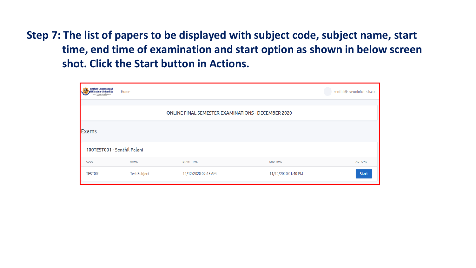**Step 7: The list of papers to be displayed with subject code, subject name, start time, end time of examination and start option as shown in below screen shot. Click the Start button in Actions.**

| <b>ELITE LIQUEGOGOBILIOS</b><br><b>Bharathiar Universit</b><br>New York and In Check by Station<br><b>MARINE STATISTICS</b> | Home                |                                                           |                     | senthil@aveoninfotech.com |
|-----------------------------------------------------------------------------------------------------------------------------|---------------------|-----------------------------------------------------------|---------------------|---------------------------|
|                                                                                                                             |                     | <b>ONLINE FINAL SEMESTER EXAMINATIONS - DECEMBER 2020</b> |                     |                           |
| <b>Exams</b>                                                                                                                |                     |                                                           |                     |                           |
| 100TEST001 - Senthil Palani                                                                                                 |                     |                                                           |                     |                           |
| CODE                                                                                                                        | <b>NAME</b>         | <b>START TIME</b>                                         | <b>END TIME</b>     | <b>ACTIONS</b>            |
| TEST001                                                                                                                     | <b>Test Subject</b> | 11/12/2020 09:45 AM                                       | 11/12/2020 01:40 PM | <b>Start</b>              |
|                                                                                                                             |                     |                                                           |                     |                           |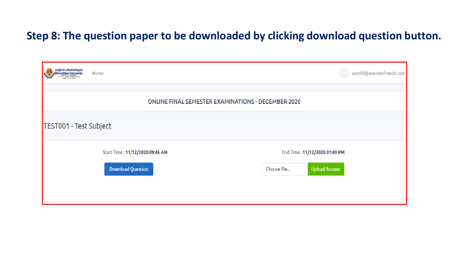#### **Step 8: The question paper to be downloaded by clicking download question button.**

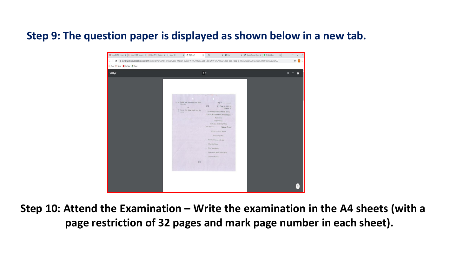#### **Step 9: The question paper is displayed as shown below in a new tab.**



**Step 10: Attend the Examination – Write the examination in the A4 sheets (with a page restriction of 32 pages and mark page number in each sheet).**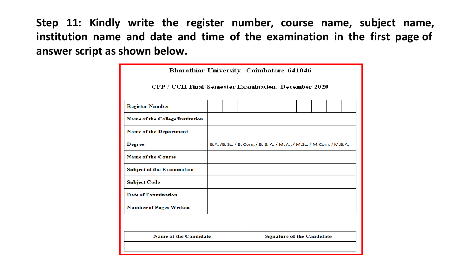**Step 11: Kindly write the register number, course name, subject name, institution name and date and time of the examination in the first page of answer script as shown below.**

| Bharathiar University, Coimbatore 641046                    |  |                                                                         |  |  |  |                                   |  |  |  |
|-------------------------------------------------------------|--|-------------------------------------------------------------------------|--|--|--|-----------------------------------|--|--|--|
| <b>CPP / CCII Final Semester Examination, December 2020</b> |  |                                                                         |  |  |  |                                   |  |  |  |
| <b>Register Number</b>                                      |  |                                                                         |  |  |  |                                   |  |  |  |
| <b>Name of the College/Institution</b>                      |  |                                                                         |  |  |  |                                   |  |  |  |
| <b>Name of the Department</b>                               |  |                                                                         |  |  |  |                                   |  |  |  |
| <b>Degree</b>                                               |  | B.A. /B. Sc. / B. Com. / B. B. A. / M. A., / M. Sc. / M. Com. / M. B.A. |  |  |  |                                   |  |  |  |
| <b>Name of the Course</b>                                   |  |                                                                         |  |  |  |                                   |  |  |  |
| <b>Subject of the Examination</b>                           |  |                                                                         |  |  |  |                                   |  |  |  |
| <b>Subject Code</b>                                         |  |                                                                         |  |  |  |                                   |  |  |  |
| Date of Examination                                         |  |                                                                         |  |  |  |                                   |  |  |  |
| <b>Number of Pages Written</b>                              |  |                                                                         |  |  |  |                                   |  |  |  |
|                                                             |  |                                                                         |  |  |  |                                   |  |  |  |
| <b>Name of the Candidate</b>                                |  |                                                                         |  |  |  | <b>Signature of the Candidate</b> |  |  |  |
|                                                             |  |                                                                         |  |  |  |                                   |  |  |  |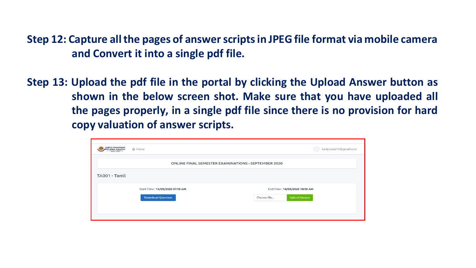**Step 12: Capture all the pages of answer scripts in JPEG file format via mobile camera and Convert it into a single pdf file.**

**Step 13: Upload the pdf file in the portal by clicking the Upload Answer button as shown in the below screen shot. Make sure that you have uploaded all the pages properly, in a single pdf file since there is no provision for hard copy valuation of answer scripts.**

| kaviprasad12@gmail.com                              |
|-----------------------------------------------------|
| ONLINE FINAL SEMESTER EXAMINATIONS - SEPTEMBER 2020 |
|                                                     |
| End Time: 14/09/2020 10:18 AM                       |
| <b>Upload Answer</b><br>Choose file                 |
|                                                     |
|                                                     |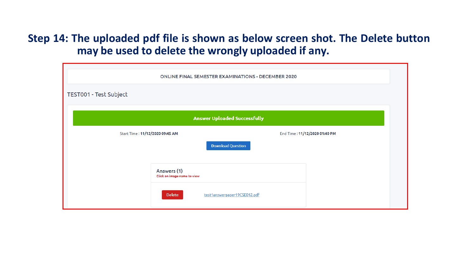#### **Step 14: The uploaded pdf file is shown as below screen shot. The Delete button may be used to delete the wrongly uploaded if any.**

| <b>ONLINE FINAL SEMESTER EXAMINATIONS - DECEMBER 2020</b> |                                            |                              |                               |  |  |  |  |
|-----------------------------------------------------------|--------------------------------------------|------------------------------|-------------------------------|--|--|--|--|
| TEST001 - Test Subject                                    |                                            |                              |                               |  |  |  |  |
| <b>Answer Uploaded Successfully</b>                       |                                            |                              |                               |  |  |  |  |
| Start Time: 11/12/2020 09:45 AM                           |                                            |                              | End Time: 11/12/2020 01:40 PM |  |  |  |  |
|                                                           |                                            | <b>Download Question</b>     |                               |  |  |  |  |
|                                                           | Answers (1)<br>Click on image name to view |                              |                               |  |  |  |  |
|                                                           | <b>Delete</b>                              | test1answerpaper19CSE012.pdf |                               |  |  |  |  |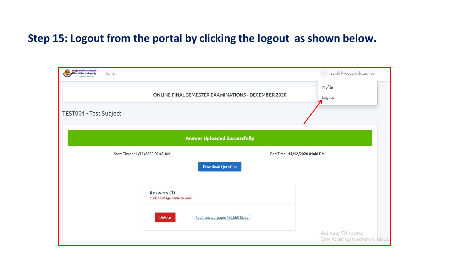#### **Step 15: Logout from the portal by clicking the logout as shown below.**

| ungkuni umasomalayah<br>//Bharathiar University<br>ØЗ<br>Home |                                            |                                                    |                               | senthil@aveoninfotech.com                                  |
|---------------------------------------------------------------|--------------------------------------------|----------------------------------------------------|-------------------------------|------------------------------------------------------------|
|                                                               |                                            | ONLINE FINAL SEMESTER EXAMINATIONS - DECEMBER 2020 |                               | Profile<br>Logout<br>7.                                    |
| TEST001 - Test Subject                                        |                                            |                                                    |                               |                                                            |
|                                                               |                                            | <b>Answer Uploaded Successfully</b>                |                               |                                                            |
|                                                               | Start Time: 11/12/2020 09:45 AM            |                                                    | End Time: 11/12/2020 01:40 PM |                                                            |
|                                                               |                                            | <b>Download Question</b>                           |                               |                                                            |
|                                                               | Answers (1)<br>Click on image name to view |                                                    |                               |                                                            |
|                                                               | <b>Delete</b>                              | test1answerpaper19CSE012.pdf                       |                               |                                                            |
|                                                               |                                            |                                                    |                               | Activate Windows<br>Go to PC settings to activate Windows. |